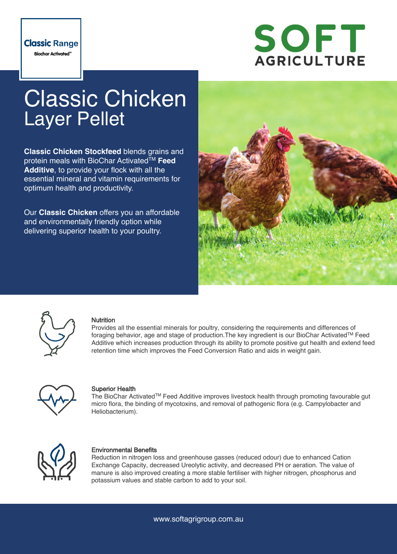

# Classic Chicken Layer Pellet

**Classic Chicken Stockfeed** blends grains and protein meals with BioChar Activated™ Feed **Additive**, to provide your flock with all the essential mineral and vitamin requirements for optimum health and productivity.

Our **Classic Chicken** offers you an affordable and environmentally friendly option while delivering superior health to your poultry.





#### **Nutrition**

Provides all the essential minerals for poultry, considering the requirements and differences of foraging behavior, age and stage of production.The key ingredient is our BioChar ActivatedTM Feed Additive which increases production through its ability to promote positive gut health and extend feed retention time which improves the Feed Conversion Ratio and aids in weight gain.



#### Superior Health

The BioChar ActivatedTM Feed Additive improves livestock health through promoting favourable gut micro flora, the binding of mycotoxins, and removal of pathogenic flora (e.g. Campylobacter and Heliobacterium).



#### Environmental Benefits

Reduction in nitrogen loss and greenhouse gasses (reduced odour) due to enhanced Cation Exchange Capacity, decreased Ureolytic activity, and decreased PH or aeration. The value of manure is also improved creating a more stable fertiliser with higher nitrogen, phosphorus and potassium values and stable carbon to add to your soil.